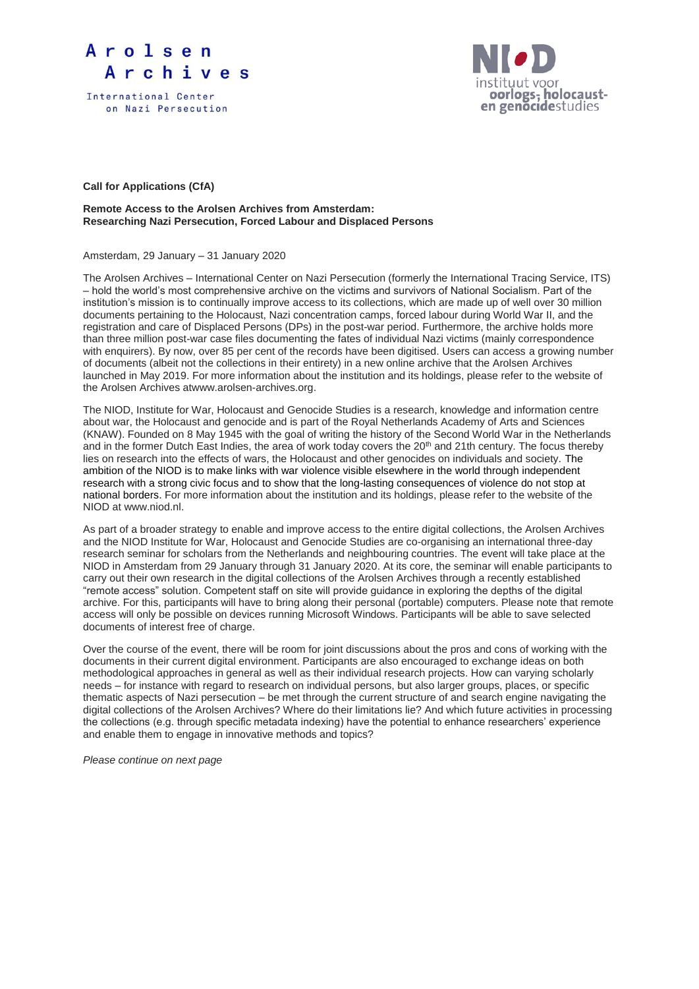



**Call for Applications (CfA)**

## **Remote Access to the Arolsen Archives from Amsterdam: Researching Nazi Persecution, Forced Labour and Displaced Persons**

Amsterdam, 29 January – 31 January 2020

The Arolsen Archives – International Center on Nazi Persecution (formerly the International Tracing Service, ITS) – hold the world's most comprehensive archive on the victims and survivors of National Socialism. Part of the institution's mission is to continually improve access to its collections, which are made up of well over 30 million documents pertaining to the Holocaust, Nazi concentration camps, forced labour during World War II, and the registration and care of Displaced Persons (DPs) in the post-war period. Furthermore, the archive holds more than three million post-war case files documenting the fates of individual Nazi victims (mainly correspondence with enquirers). By now, over 85 per cent of the records have been digitised. Users can access a growing number of documents (albeit not the collections in their entirety) in a new online archive that the Arolsen Archives launched in May 2019. For more information about the institution and its holdings, please refer to the website of the Arolsen Archives atwww.arolsen-archives.org.

The NIOD, Institute for War, Holocaust and Genocide Studies is a research, knowledge and information centre about war, the Holocaust and genocide and is part of the Royal Netherlands Academy of Arts and Sciences (KNAW). Founded on 8 May 1945 with the goal of writing the history of the Second World War in the Netherlands and in the former Dutch East Indies, the area of work today covers the 20<sup>th</sup> and 21th century. The focus thereby lies on research into the effects of wars, the Holocaust and other genocides on individuals and society. The ambition of the NIOD is to make links with war violence visible elsewhere in the world through independent research with a strong civic focus and to show that the long-lasting consequences of violence do not stop at national borders. For more information about the institution and its holdings, please refer to the website of the NIOD at www.niod.nl.

As part of a broader strategy to enable and improve access to the entire digital collections, the Arolsen Archives and the NIOD Institute for War, Holocaust and Genocide Studies are co-organising an international three-day research seminar for scholars from the Netherlands and neighbouring countries. The event will take place at the NIOD in Amsterdam from 29 January through 31 January 2020. At its core, the seminar will enable participants to carry out their own research in the digital collections of the Arolsen Archives through a recently established "remote access" solution. Competent staff on site will provide guidance in exploring the depths of the digital archive. For this, participants will have to bring along their personal (portable) computers. Please note that remote access will only be possible on devices running Microsoft Windows. Participants will be able to save selected documents of interest free of charge.

Over the course of the event, there will be room for joint discussions about the pros and cons of working with the documents in their current digital environment. Participants are also encouraged to exchange ideas on both methodological approaches in general as well as their individual research projects. How can varying scholarly needs – for instance with regard to research on individual persons, but also larger groups, places, or specific thematic aspects of Nazi persecution – be met through the current structure of and search engine navigating the digital collections of the Arolsen Archives? Where do their limitations lie? And which future activities in processing the collections (e.g. through specific metadata indexing) have the potential to enhance researchers' experience and enable them to engage in innovative methods and topics?

*Please continue on next page*